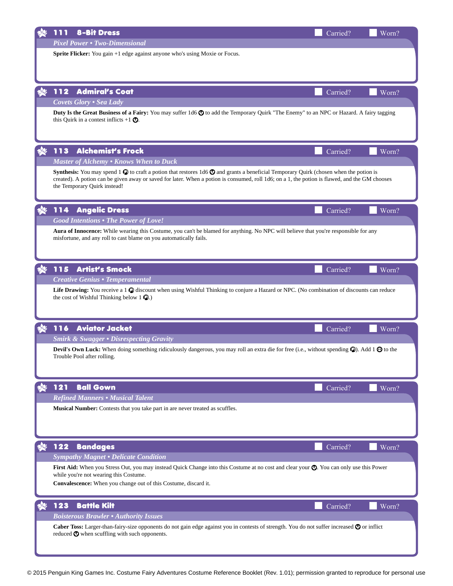|     | <b>8-Bit Dress</b><br>111                                                                                                                                                                                                                                                                                  | Carried? | Worn? |
|-----|------------------------------------------------------------------------------------------------------------------------------------------------------------------------------------------------------------------------------------------------------------------------------------------------------------|----------|-------|
|     | <b>Pixel Power • Two-Dimensional</b>                                                                                                                                                                                                                                                                       |          |       |
|     | Sprite Flicker: You gain +1 edge against anyone who's using Moxie or Focus.                                                                                                                                                                                                                                |          |       |
|     |                                                                                                                                                                                                                                                                                                            |          |       |
|     |                                                                                                                                                                                                                                                                                                            |          |       |
|     | 112<br><b>Admiral's Coat</b>                                                                                                                                                                                                                                                                               | Carried? | Worn? |
|     | <b>Covets Glory . Sea Lady</b>                                                                                                                                                                                                                                                                             |          |       |
|     | Duty Is the Great Business of a Fairy: You may suffer 1d6 $\bullet$ to add the Temporary Quirk "The Enemy" to an NPC or Hazard. A fairy tagging                                                                                                                                                            |          |       |
|     | this Quirk in a contest inflicts $+1$ $\odot$ .                                                                                                                                                                                                                                                            |          |       |
|     |                                                                                                                                                                                                                                                                                                            |          |       |
|     |                                                                                                                                                                                                                                                                                                            |          |       |
|     | 113<br><b>Alchemist's Frock</b>                                                                                                                                                                                                                                                                            | Carried? | Worn? |
|     | Master of Alchemy . Knows When to Duck                                                                                                                                                                                                                                                                     |          |       |
|     | <b>Synthesis:</b> You may spend 1 $\odot$ to craft a potion that restores 1d6 $\odot$ and grants a beneficial Temporary Quirk (chosen when the potion is<br>created). A potion can be given away or saved for later. When a potion is consumed, roll 1d6; on a 1, the potion is flawed, and the GM chooses |          |       |
|     | the Temporary Quirk instead!                                                                                                                                                                                                                                                                               |          |       |
|     |                                                                                                                                                                                                                                                                                                            |          |       |
| XI. | <b>Angelic Dress</b><br>114                                                                                                                                                                                                                                                                                | Carried? | Worn? |
|     | <b>Good Intentions . The Power of Love!</b>                                                                                                                                                                                                                                                                |          |       |
|     | Aura of Innocence: While wearing this Costume, you can't be blamed for anything. No NPC will believe that you're responsible for any                                                                                                                                                                       |          |       |
|     | misfortune, and any roll to cast blame on you automatically fails.                                                                                                                                                                                                                                         |          |       |
|     |                                                                                                                                                                                                                                                                                                            |          |       |
|     |                                                                                                                                                                                                                                                                                                            |          |       |
|     | <b>Artist's Smock</b><br>115                                                                                                                                                                                                                                                                               | Carried? | Worn? |
|     | <b>Creative Genius • Temperamental</b>                                                                                                                                                                                                                                                                     |          |       |
|     | Life Drawing: You receive a 1 & discount when using Wishful Thinking to conjure a Hazard or NPC. (No combination of discounts can reduce                                                                                                                                                                   |          |       |
|     | the cost of Wishful Thinking below $1 \, \Omega$ .)                                                                                                                                                                                                                                                        |          |       |
|     |                                                                                                                                                                                                                                                                                                            |          |       |
|     | 116<br><b>Aviator Jacket</b>                                                                                                                                                                                                                                                                               | Carried? | Worn? |
|     | <b>Smirk &amp; Swagger • Disrespecting Gravity</b>                                                                                                                                                                                                                                                         |          |       |
|     | <b>Devil's Own Luck:</b> When doing something ridiculously dangerous, you may roll an extra die for free (i.e., without spending $\mathcal{C}$ ). Add 1 $\odot$ to the                                                                                                                                     |          |       |
|     | Trouble Pool after rolling.                                                                                                                                                                                                                                                                                |          |       |
|     |                                                                                                                                                                                                                                                                                                            |          |       |
|     |                                                                                                                                                                                                                                                                                                            |          |       |
|     | 121<br><b>Ball Gown</b>                                                                                                                                                                                                                                                                                    | Carried? | Worn? |
|     | <b>Refined Manners • Musical Talent</b>                                                                                                                                                                                                                                                                    |          |       |
|     | Musical Number: Contests that you take part in are never treated as scuffles.                                                                                                                                                                                                                              |          |       |
|     |                                                                                                                                                                                                                                                                                                            |          |       |
|     |                                                                                                                                                                                                                                                                                                            |          |       |
|     | 122<br><b>Bandages</b>                                                                                                                                                                                                                                                                                     | Carried? | Worn? |
|     | <b>Sympathy Magnet • Delicate Condition</b>                                                                                                                                                                                                                                                                |          |       |
|     | First Aid: When you Stress Out, you may instead Quick Change into this Costume at no cost and clear your $\odot$ . You can only use this Power                                                                                                                                                             |          |       |
|     | while you're not wearing this Costume.                                                                                                                                                                                                                                                                     |          |       |
|     | Convalescence: When you change out of this Costume, discard it.                                                                                                                                                                                                                                            |          |       |
|     |                                                                                                                                                                                                                                                                                                            |          |       |
|     | 123<br><b>Battle Kilt</b>                                                                                                                                                                                                                                                                                  | Carried? | Worn? |
|     | <b>Boisterous Brawler . Authority Issues</b>                                                                                                                                                                                                                                                               |          |       |
|     | Caber Toss: Larger-than-fairy-size opponents do not gain edge against you in contests of strength. You do not suffer increased $\odot$ or inflict<br>reduced $\Phi$ when scuffling with such opponents.                                                                                                    |          |       |
|     |                                                                                                                                                                                                                                                                                                            |          |       |
|     |                                                                                                                                                                                                                                                                                                            |          |       |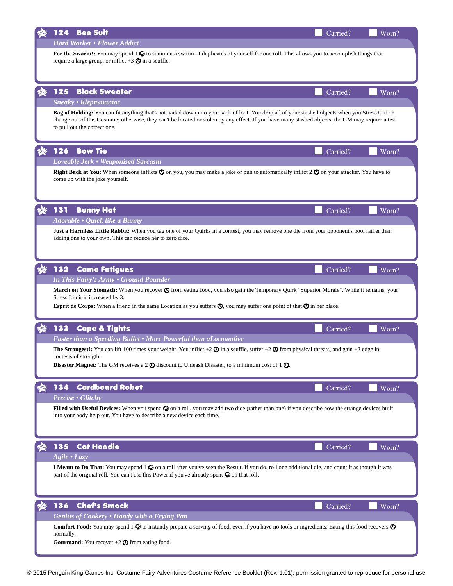| 124                                                                                                                                                                                                                                                                                                                                                                        | <b>Bee Suit</b>                                                                                                                                                                                                                                                                                                                      | Carried? | Worn? |  |
|----------------------------------------------------------------------------------------------------------------------------------------------------------------------------------------------------------------------------------------------------------------------------------------------------------------------------------------------------------------------------|--------------------------------------------------------------------------------------------------------------------------------------------------------------------------------------------------------------------------------------------------------------------------------------------------------------------------------------|----------|-------|--|
|                                                                                                                                                                                                                                                                                                                                                                            | <b>Hard Worker • Flower Addict</b>                                                                                                                                                                                                                                                                                                   |          |       |  |
| For the Swarm!: You may spend 1 $\odot$ to summon a swarm of duplicates of yourself for one roll. This allows you to accomplish things that<br>require a large group, or inflict $+3$ $\odot$ in a scuffle.                                                                                                                                                                |                                                                                                                                                                                                                                                                                                                                      |          |       |  |
|                                                                                                                                                                                                                                                                                                                                                                            |                                                                                                                                                                                                                                                                                                                                      |          |       |  |
| 125                                                                                                                                                                                                                                                                                                                                                                        | <b>Black Sweater</b>                                                                                                                                                                                                                                                                                                                 | Carried? | Worn? |  |
|                                                                                                                                                                                                                                                                                                                                                                            | Sneaky • Kleptomaniac                                                                                                                                                                                                                                                                                                                |          |       |  |
|                                                                                                                                                                                                                                                                                                                                                                            | Bag of Holding: You can fit anything that's not nailed down into your sack of loot. You drop all of your stashed objects when you Stress Out or<br>change out of this Costume; otherwise, they can't be located or stolen by any effect. If you have many stashed objects, the GM may require a test<br>to pull out the correct one. |          |       |  |
| 126                                                                                                                                                                                                                                                                                                                                                                        | <b>Bow Tie</b>                                                                                                                                                                                                                                                                                                                       | Carried? | Worn? |  |
|                                                                                                                                                                                                                                                                                                                                                                            | Loveable Jerk • Weaponised Sarcasm                                                                                                                                                                                                                                                                                                   |          |       |  |
|                                                                                                                                                                                                                                                                                                                                                                            | <b>Right Back at You:</b> When someone inflicts $\odot$ on you, you may make a joke or pun to automatically inflict 2 $\odot$ on your attacker. You have to<br>come up with the joke yourself.                                                                                                                                       |          |       |  |
| 131                                                                                                                                                                                                                                                                                                                                                                        | <b>Bunny Hat</b>                                                                                                                                                                                                                                                                                                                     | Carried? | Worn? |  |
|                                                                                                                                                                                                                                                                                                                                                                            | Adorable • Quick like a Bunny                                                                                                                                                                                                                                                                                                        |          |       |  |
|                                                                                                                                                                                                                                                                                                                                                                            | Just a Harmless Little Rabbit: When you tag one of your Quirks in a contest, you may remove one die from your opponent's pool rather than<br>adding one to your own. This can reduce her to zero dice.                                                                                                                               |          |       |  |
|                                                                                                                                                                                                                                                                                                                                                                            |                                                                                                                                                                                                                                                                                                                                      |          |       |  |
| 132                                                                                                                                                                                                                                                                                                                                                                        | <b>Camo Fatigues</b>                                                                                                                                                                                                                                                                                                                 | Carried? | Worn? |  |
| In This Fairy's Army . Ground Pounder<br>March on Your Stomach: When you recover $\odot$ from eating food, you also gain the Temporary Quirk "Superior Morale". While it remains, your<br>Stress Limit is increased by 3.<br>Esprit de Corps: When a friend in the same Location as you suffers $\mathbb{Q}$ , you may suffer one point of that $\mathbb{Q}$ in her place. |                                                                                                                                                                                                                                                                                                                                      |          |       |  |
| 133                                                                                                                                                                                                                                                                                                                                                                        | <b>Cape &amp; Tights</b>                                                                                                                                                                                                                                                                                                             | Carried? | Worn? |  |
|                                                                                                                                                                                                                                                                                                                                                                            | Faster than a Speeding Bullet . More Powerful than aLocomotive                                                                                                                                                                                                                                                                       |          |       |  |
|                                                                                                                                                                                                                                                                                                                                                                            | The Strongest!: You can lift 100 times your weight. You inflict +2 $\odot$ in a scuffle, suffer -2 $\odot$ from physical threats, and gain +2 edge in                                                                                                                                                                                |          |       |  |
|                                                                                                                                                                                                                                                                                                                                                                            | contests of strength.<br>Disaster Magnet: The GM receives a 2 $\odot$ discount to Unleash Disaster, to a minimum cost of 1 $\odot$ .                                                                                                                                                                                                 |          |       |  |
| 134                                                                                                                                                                                                                                                                                                                                                                        | <b>Cardboard Robot</b>                                                                                                                                                                                                                                                                                                               | Carried? | Worn? |  |
|                                                                                                                                                                                                                                                                                                                                                                            | <b>Precise • Glitchy</b>                                                                                                                                                                                                                                                                                                             |          |       |  |
|                                                                                                                                                                                                                                                                                                                                                                            | Filled with Useful Devices: When you spend $\mathcal O$ on a roll, you may add two dice (rather than one) if you describe how the strange devices built<br>into your body help out. You have to describe a new device each time.                                                                                                     |          |       |  |
| 135                                                                                                                                                                                                                                                                                                                                                                        | <b>Cat Hoodie</b>                                                                                                                                                                                                                                                                                                                    | Carried? | Worn? |  |
| Agile • Lazy                                                                                                                                                                                                                                                                                                                                                               |                                                                                                                                                                                                                                                                                                                                      |          |       |  |
|                                                                                                                                                                                                                                                                                                                                                                            | I Meant to Do That: You may spend 1 $\circledcirc$ on a roll after you've seen the Result. If you do, roll one additional die, and count it as though it was<br>part of the original roll. You can't use this Power if you've already spent $\mathcal Q$ on that roll.                                                               |          |       |  |
| 136                                                                                                                                                                                                                                                                                                                                                                        | <b>Chef's Smock</b>                                                                                                                                                                                                                                                                                                                  | Carried? | Worn? |  |
|                                                                                                                                                                                                                                                                                                                                                                            | <b>Genius of Cookery • Handy with a Frying Pan</b>                                                                                                                                                                                                                                                                                   |          |       |  |
| normally.                                                                                                                                                                                                                                                                                                                                                                  | Comfort Food: You may spend 1 $\odot$ to instantly prepare a serving of food, even if you have no tools or ingredients. Eating this food recovers $\odot$                                                                                                                                                                            |          |       |  |
|                                                                                                                                                                                                                                                                                                                                                                            | <b>Gourmand:</b> You recover $+2$ $\odot$ from eating food.                                                                                                                                                                                                                                                                          |          |       |  |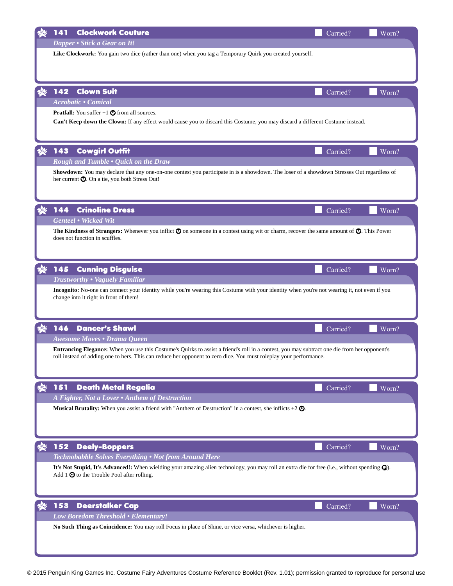|              | 141 | <b>Clockwork Couture</b>                                                                                                                                                                                                                                           | Carried? | Worn? |
|--------------|-----|--------------------------------------------------------------------------------------------------------------------------------------------------------------------------------------------------------------------------------------------------------------------|----------|-------|
|              |     | Dapper • Stick a Gear on It!                                                                                                                                                                                                                                       |          |       |
|              |     | Like Clockwork: You gain two dice (rather than one) when you tag a Temporary Quirk you created yourself.                                                                                                                                                           |          |       |
|              |     |                                                                                                                                                                                                                                                                    |          |       |
|              |     |                                                                                                                                                                                                                                                                    |          |       |
|              |     |                                                                                                                                                                                                                                                                    |          |       |
|              | 142 | <b>Clown Suit</b>                                                                                                                                                                                                                                                  | Carried? | Worn? |
|              |     | <b>Acrobatic · Comical</b>                                                                                                                                                                                                                                         |          |       |
|              |     | <b>Pratfall:</b> You suffer $-1$ $\odot$ from all sources.<br>Can't Keep down the Clown: If any effect would cause you to discard this Costume, you may discard a different Costume instead.                                                                       |          |       |
|              |     |                                                                                                                                                                                                                                                                    |          |       |
|              |     |                                                                                                                                                                                                                                                                    |          |       |
| $\mathbf{A}$ | 143 | <b>Cowgirl Outfit</b>                                                                                                                                                                                                                                              | Carried? | Worn? |
|              |     | Rough and Tumble . Quick on the Draw                                                                                                                                                                                                                               |          |       |
|              |     | Showdown: You may declare that any one-on-one contest you participate in is a showdown. The loser of a showdown Stresses Out regardless of                                                                                                                         |          |       |
|              |     | her current $\mathbf Q$ . On a tie, you both Stress Out!                                                                                                                                                                                                           |          |       |
|              |     |                                                                                                                                                                                                                                                                    |          |       |
|              |     |                                                                                                                                                                                                                                                                    |          |       |
|              | 144 | <b>Crinoline Dress</b>                                                                                                                                                                                                                                             | Carried? | Worn? |
|              |     | <b>Genteel • Wicked Wit</b>                                                                                                                                                                                                                                        |          |       |
|              |     | The Kindness of Strangers: Whenever you inflict $\odot$ on someone in a contest using wit or charm, recover the same amount of $\odot$ . This Power<br>does not function in scuffles.                                                                              |          |       |
|              |     |                                                                                                                                                                                                                                                                    |          |       |
|              |     |                                                                                                                                                                                                                                                                    |          |       |
| X)           | 145 | <b>Cunning Disguise</b>                                                                                                                                                                                                                                            | Carried? | Worn? |
|              |     | <b>Trustworthy . Vaguely Familiar</b>                                                                                                                                                                                                                              |          |       |
|              |     | Incognito: No-one can connect your identity while you're wearing this Costume with your identity when you're not wearing it, not even if you                                                                                                                       |          |       |
|              |     | change into it right in front of them!                                                                                                                                                                                                                             |          |       |
|              |     |                                                                                                                                                                                                                                                                    |          |       |
|              |     |                                                                                                                                                                                                                                                                    |          |       |
| <b>DE</b>    | 146 | <b>Dancer's Shawl</b>                                                                                                                                                                                                                                              | Carried? | Worn? |
|              |     | Awesome Moves • Drama Queen                                                                                                                                                                                                                                        |          |       |
|              |     | Entrancing Elegance: When you use this Costume's Quirks to assist a friend's roll in a contest, you may subtract one die from her opponent's<br>roll instead of adding one to hers. This can reduce her opponent to zero dice. You must roleplay your performance. |          |       |
|              |     |                                                                                                                                                                                                                                                                    |          |       |
|              |     |                                                                                                                                                                                                                                                                    |          |       |
|              | 151 | <b>Death Metal Regalia</b>                                                                                                                                                                                                                                         | Carried? | Worn? |
|              |     | A Fighter, Not a Lover • Anthem of Destruction                                                                                                                                                                                                                     |          |       |
|              |     | <b>Musical Brutality:</b> When you assist a friend with "Anthem of Destruction" in a contest, she inflicts $+2$ $\odot$ .                                                                                                                                          |          |       |
|              |     |                                                                                                                                                                                                                                                                    |          |       |
|              |     |                                                                                                                                                                                                                                                                    |          |       |
|              |     |                                                                                                                                                                                                                                                                    |          |       |
|              | 152 | <b>Deely-Boppers</b>                                                                                                                                                                                                                                               | Carried? | Worn? |
|              |     | Technobabble Solves Everything • Not from Around Here                                                                                                                                                                                                              |          |       |
|              |     | It's Not Stupid, It's Advanced!: When wielding your amazing alien technology, you may roll an extra die for free (i.e., without spending $\mathcal{O}$ ).                                                                                                          |          |       |
|              |     | Add 1 $\odot$ to the Trouble Pool after rolling.                                                                                                                                                                                                                   |          |       |
|              |     |                                                                                                                                                                                                                                                                    |          |       |
|              | 153 | <b>Deerstalker Cap</b>                                                                                                                                                                                                                                             |          |       |
|              |     | Low Boredom Threshold • Elementary!                                                                                                                                                                                                                                | Carried? | Worn? |
|              |     | No Such Thing as Coincidence: You may roll Focus in place of Shine, or vice versa, whichever is higher.                                                                                                                                                            |          |       |
|              |     |                                                                                                                                                                                                                                                                    |          |       |
|              |     |                                                                                                                                                                                                                                                                    |          |       |
|              |     |                                                                                                                                                                                                                                                                    |          |       |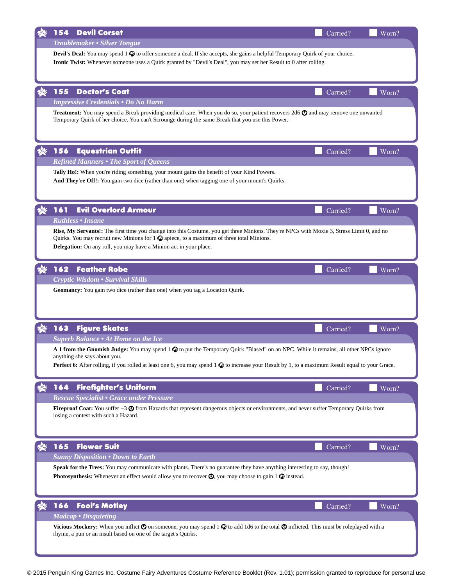| <b>Devil Corset</b><br>154                                                                                                                                                                                                                                                                                              | Carried? | Worn? |
|-------------------------------------------------------------------------------------------------------------------------------------------------------------------------------------------------------------------------------------------------------------------------------------------------------------------------|----------|-------|
| Troublemaker • Silver Tongue                                                                                                                                                                                                                                                                                            |          |       |
| <b>Devil's Deal:</b> You may spend 1 $\mathbb{Q}$ to offer someone a deal. If she accepts, she gains a helpful Temporary Quirk of your choice.<br>Ironic Twist: Whenever someone uses a Quirk granted by "Devil's Deal", you may set her Result to 0 after rolling.                                                     |          |       |
|                                                                                                                                                                                                                                                                                                                         |          |       |
| 155<br><b>Doctor's Coat</b>                                                                                                                                                                                                                                                                                             | Carried? | Worn? |
| <b>Impressive Credentials . Do No Harm</b>                                                                                                                                                                                                                                                                              |          |       |
| Treatment: You may spend a Break providing medical care. When you do so, your patient recovers 2d6 $\odot$ and may remove one unwanted<br>Temporary Quirk of her choice. You can't Scrounge during the same Break that you use this Power.                                                                              |          |       |
| 156<br><b>Equestrian Outfit</b>                                                                                                                                                                                                                                                                                         | Carried? | Worn? |
| <b>Refined Manners • The Sport of Queens</b>                                                                                                                                                                                                                                                                            |          |       |
| Tally Ho!: When you're riding something, your mount gains the benefit of your Kind Powers.                                                                                                                                                                                                                              |          |       |
| And They're Off!: You gain two dice (rather than one) when tagging one of your mount's Quirks.                                                                                                                                                                                                                          |          |       |
| <b>Evil Overlord Armour</b><br>161                                                                                                                                                                                                                                                                                      | Carried? | Worn? |
| <b>Ruthless • Insane</b>                                                                                                                                                                                                                                                                                                |          |       |
| Rise, My Servants!: The first time you change into this Costume, you get three Minions. They're NPCs with Moxie 3, Stress Limit 0, and no<br>Quirks. You may recruit new Minions for $1 \odot$ apiece, to a maximum of three total Minions.<br><b>Delegation:</b> On any roll, you may have a Minion act in your place. |          |       |
| <b>Feather Robe</b><br>162                                                                                                                                                                                                                                                                                              | Carried? | Worn? |
| Cryptic Wisdom • Survival Skills                                                                                                                                                                                                                                                                                        |          |       |
|                                                                                                                                                                                                                                                                                                                         |          |       |
| 163<br><b>Figure Skates</b>                                                                                                                                                                                                                                                                                             | Carried? | Worn? |
| Superb Balance • At Home on the Ice                                                                                                                                                                                                                                                                                     |          |       |
| A 1 from the Gnomish Judge: You may spend 1 $\bullet$ to put the Temporary Quirk "Biased" on an NPC. While it remains, all other NPCs ignore                                                                                                                                                                            |          |       |
| anything she says about you.                                                                                                                                                                                                                                                                                            |          |       |
| Perfect 6: After rolling, if you rolled at least one 6, you may spend 1 $\odot$ to increase your Result by 1, to a maximum Result equal to your Grace.                                                                                                                                                                  |          |       |
| <b>Firefighter's Uniform</b><br>164                                                                                                                                                                                                                                                                                     | Carried? | Worn? |
| Rescue Specialist • Grace under Pressure                                                                                                                                                                                                                                                                                |          |       |
| Fireproof Coat: You suffer -3 $\circledcirc$ from Hazards that represent dangerous objects or environments, and never suffer Temporary Quirks from<br>losing a contest with such a Hazard.                                                                                                                              |          |       |
| 165<br><b>Flower Suit</b>                                                                                                                                                                                                                                                                                               | Carried? | Worn? |
| <b>Sunny Disposition . Down to Earth</b>                                                                                                                                                                                                                                                                                |          |       |
| Speak for the Trees: You may communicate with plants. There's no guarantee they have anything interesting to say, though!                                                                                                                                                                                               |          |       |
| <b>Photosynthesis:</b> Whenever an effect would allow you to recover $\mathbf{Q}$ , you may choose to gain 1 $\mathbf{Q}$ instead.                                                                                                                                                                                      |          |       |
| <b>Fool's Motley</b><br>166                                                                                                                                                                                                                                                                                             | Carried? | Worn? |
| Madcap • Disquieting                                                                                                                                                                                                                                                                                                    |          |       |
|                                                                                                                                                                                                                                                                                                                         |          |       |
| Vicious Mockery: When you inflict $\odot$ on someone, you may spend 1 $\odot$ to add 1d6 to the total $\odot$ inflicted. This must be roleplayed with a<br>rhyme, a pun or an insult based on one of the target's Quirks.                                                                                               |          |       |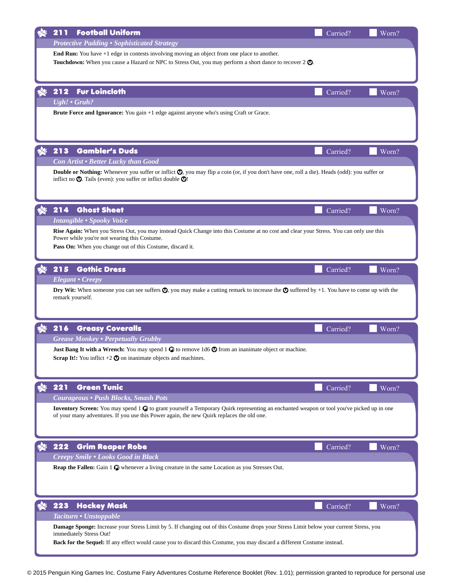| <b>Football Uniform</b><br>211                                                                                                                                                                                                                  | Carried? | Worn? |  |  |
|-------------------------------------------------------------------------------------------------------------------------------------------------------------------------------------------------------------------------------------------------|----------|-------|--|--|
| <b>Protective Padding . Sophisticated Strategy</b>                                                                                                                                                                                              |          |       |  |  |
| End Run: You have +1 edge in contests involving moving an object from one place to another.                                                                                                                                                     |          |       |  |  |
| <b>Touchdown:</b> When you cause a Hazard or NPC to Stress Out, you may perform a short dance to recover 2 $\odot$ .                                                                                                                            |          |       |  |  |
|                                                                                                                                                                                                                                                 |          |       |  |  |
| <b>Fur Loincloth</b><br>212                                                                                                                                                                                                                     | Carried? | Worn? |  |  |
| Ugh! . Gruh?                                                                                                                                                                                                                                    |          |       |  |  |
| <b>Brute Force and Ignorance:</b> You gain +1 edge against anyone who's using Craft or Grace.                                                                                                                                                   |          |       |  |  |
|                                                                                                                                                                                                                                                 |          |       |  |  |
|                                                                                                                                                                                                                                                 |          |       |  |  |
| <b>Gambler's Duds</b><br>213                                                                                                                                                                                                                    | Carried? | Worn? |  |  |
| Con Artist . Better Lucky than Good                                                                                                                                                                                                             |          |       |  |  |
| <b>Double or Nothing:</b> Whenever you suffer or inflict $\bullet$ , you may flip a coin (or, if you don't have one, roll a die). Heads (odd): you suffer or<br>inflict no $\bigcirc$ . Tails (even): you suffer or inflict double $\bigcirc$ ! |          |       |  |  |
|                                                                                                                                                                                                                                                 |          |       |  |  |
|                                                                                                                                                                                                                                                 |          |       |  |  |
| <b>Ghost Sheet</b><br>214                                                                                                                                                                                                                       | Carried? | Worn? |  |  |
| <b>Intangible • Spooky Voice</b>                                                                                                                                                                                                                |          |       |  |  |
| Rise Again: When you Stress Out, you may instead Quick Change into this Costume at no cost and clear your Stress. You can only use this<br>Power while you're not wearing this Costume.                                                         |          |       |  |  |
| Pass On: When you change out of this Costume, discard it.                                                                                                                                                                                       |          |       |  |  |
|                                                                                                                                                                                                                                                 |          |       |  |  |
| 215<br><b>Gothic Dress</b>                                                                                                                                                                                                                      | Carried? | Worn? |  |  |
| <b>Elegant • Creepy</b>                                                                                                                                                                                                                         |          |       |  |  |
| <b>Dry Wit:</b> When someone you can see suffers $\bullet$ , you may make a cutting remark to increase the $\bullet$ suffered by +1. You have to come up with the<br>remark yourself.                                                           |          |       |  |  |
|                                                                                                                                                                                                                                                 |          |       |  |  |
|                                                                                                                                                                                                                                                 |          |       |  |  |
| 216<br><b>Greasy Coveralls</b>                                                                                                                                                                                                                  | Carried? | Worn? |  |  |
| <b>Grease Monkey • Perpetually Grubby</b>                                                                                                                                                                                                       |          |       |  |  |
| <b>Just Bang It with a Wrench:</b> You may spend 1 $\bullet$ to remove 1d6 $\bullet$ from an inanimate object or machine.<br><b>Scrap It!:</b> You inflict $+2$ $\odot$ on inanimate objects and machines.                                      |          |       |  |  |
|                                                                                                                                                                                                                                                 |          |       |  |  |
|                                                                                                                                                                                                                                                 |          |       |  |  |
| <b>Green Tunic</b><br>221                                                                                                                                                                                                                       | Carried? | Worn? |  |  |
| Courageous • Push Blocks, Smash Pots                                                                                                                                                                                                            |          |       |  |  |
| Inventory Screen: You may spend 1 $\odot$ to grant yourself a Temporary Quirk representing an enchanted weapon or tool you've picked up in one<br>of your many adventures. If you use this Power again, the new Quirk replaces the old one.     |          |       |  |  |
|                                                                                                                                                                                                                                                 |          |       |  |  |
|                                                                                                                                                                                                                                                 |          |       |  |  |
| 222<br><b>Grim Reaper Robe</b>                                                                                                                                                                                                                  | Carried? | Worn? |  |  |
| Creepy Smile . Looks Good in Black                                                                                                                                                                                                              |          |       |  |  |
| Reap the Fallen: Gain 1 $\odot$ whenever a living creature in the same Location as you Stresses Out.                                                                                                                                            |          |       |  |  |
|                                                                                                                                                                                                                                                 |          |       |  |  |
|                                                                                                                                                                                                                                                 |          |       |  |  |
| 223<br><b>Hockey Mask</b>                                                                                                                                                                                                                       | Carried? | Worn? |  |  |
| Taciturn • Unstoppable                                                                                                                                                                                                                          |          |       |  |  |
| Damage Sponge: Increase your Stress Limit by 5. If changing out of this Costume drops your Stress Limit below your current Stress, you<br>immediately Stress Out!                                                                               |          |       |  |  |
| Back for the Sequel: If any effect would cause you to discard this Costume, you may discard a different Costume instead.                                                                                                                        |          |       |  |  |
|                                                                                                                                                                                                                                                 |          |       |  |  |

© 2015 Penguin King Games Inc. Costume Fairy Adventures Costume Reference Booklet (Rev. 1.01); permission granted to reproduce for personal use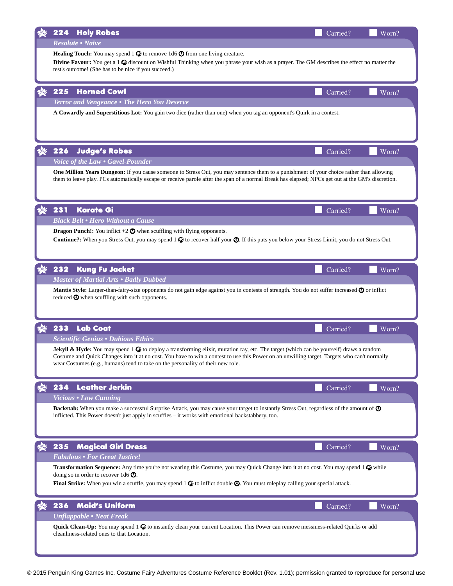|    | 224                                                                                                                                                                                                                                                                                                 | <b>Holy Robes</b>                                                                                                                                                                                                                                                                                                                                                                         | Carried? | Worn? |  |  |
|----|-----------------------------------------------------------------------------------------------------------------------------------------------------------------------------------------------------------------------------------------------------------------------------------------------------|-------------------------------------------------------------------------------------------------------------------------------------------------------------------------------------------------------------------------------------------------------------------------------------------------------------------------------------------------------------------------------------------|----------|-------|--|--|
|    |                                                                                                                                                                                                                                                                                                     | <b>Resolute • Naïve</b>                                                                                                                                                                                                                                                                                                                                                                   |          |       |  |  |
|    | <b>Healing Touch:</b> You may spend 1 $\odot$ to remove 1d6 $\odot$ from one living creature.<br>Divine Favour: You get a 1 & discount on Wishful Thinking when you phrase your wish as a prayer. The GM describes the effect no matter the<br>test's outcome! (She has to be nice if you succeed.) |                                                                                                                                                                                                                                                                                                                                                                                           |          |       |  |  |
|    | 225                                                                                                                                                                                                                                                                                                 | <b>Horned Cowl</b>                                                                                                                                                                                                                                                                                                                                                                        | Carried? | Worn? |  |  |
|    |                                                                                                                                                                                                                                                                                                     | Terror and Vengeance • The Hero You Deserve                                                                                                                                                                                                                                                                                                                                               |          |       |  |  |
|    |                                                                                                                                                                                                                                                                                                     | A Cowardly and Superstitious Lot: You gain two dice (rather than one) when you tag an opponent's Quirk in a contest.                                                                                                                                                                                                                                                                      |          |       |  |  |
|    | 226                                                                                                                                                                                                                                                                                                 | <b>Judge's Robes</b>                                                                                                                                                                                                                                                                                                                                                                      | Carried? | Worn? |  |  |
|    |                                                                                                                                                                                                                                                                                                     | Voice of the Law • Gavel-Pounder                                                                                                                                                                                                                                                                                                                                                          |          |       |  |  |
|    |                                                                                                                                                                                                                                                                                                     | One Million Years Dungeon: If you cause someone to Stress Out, you may sentence them to a punishment of your choice rather than allowing<br>them to leave play. PCs automatically escape or receive parole after the span of a normal Break has elapsed; NPCs get out at the GM's discretion.                                                                                             |          |       |  |  |
| 海  | 231                                                                                                                                                                                                                                                                                                 | Karate Gi                                                                                                                                                                                                                                                                                                                                                                                 | Carried? | Worn? |  |  |
|    |                                                                                                                                                                                                                                                                                                     | <b>Black Belt . Hero Without a Cause</b>                                                                                                                                                                                                                                                                                                                                                  |          |       |  |  |
|    |                                                                                                                                                                                                                                                                                                     | <b>Dragon Punch!:</b> You inflict $+2$ $\odot$ when scuffling with flying opponents.                                                                                                                                                                                                                                                                                                      |          |       |  |  |
|    |                                                                                                                                                                                                                                                                                                     | <b>Continue?:</b> When you Stress Out, you may spend $1 \odot \!\!\!\! \bullet$ to recover half your $\odot$ . If this puts you below your Stress Limit, you do not Stress Out.                                                                                                                                                                                                           |          |       |  |  |
| X. | 232                                                                                                                                                                                                                                                                                                 | <b>Kung Fu Jacket</b>                                                                                                                                                                                                                                                                                                                                                                     | Carried? | Worn? |  |  |
|    |                                                                                                                                                                                                                                                                                                     | <b>Master of Martial Arts • Badly Dubbed</b>                                                                                                                                                                                                                                                                                                                                              |          |       |  |  |
|    |                                                                                                                                                                                                                                                                                                     | Mantis Style: Larger-than-fairy-size opponents do not gain edge against you in contests of strength. You do not suffer increased $\odot$ or inflict<br>reduced $\Phi$ when scuffling with such opponents.                                                                                                                                                                                 |          |       |  |  |
|    | 233                                                                                                                                                                                                                                                                                                 | <b>Lab Coat</b>                                                                                                                                                                                                                                                                                                                                                                           | Carried? | Worn? |  |  |
|    |                                                                                                                                                                                                                                                                                                     | <b>Scientific Genius • Dubious Ethics</b>                                                                                                                                                                                                                                                                                                                                                 |          |       |  |  |
|    |                                                                                                                                                                                                                                                                                                     | <b>Jekyll &amp; Hyde:</b> You may spend $1\odot$ to deploy a transforming elixir, mutation ray, etc. The target (which can be yourself) draws a random<br>Costume and Quick Changes into it at no cost. You have to win a contest to use this Power on an unwilling target. Targets who can't normally<br>wear Costumes (e.g., humans) tend to take on the personality of their new role. |          |       |  |  |
|    | 234                                                                                                                                                                                                                                                                                                 | <b>Leather Jerkin</b>                                                                                                                                                                                                                                                                                                                                                                     | Carried? | Worn? |  |  |
|    |                                                                                                                                                                                                                                                                                                     | <b>Vicious • Low Cunning</b>                                                                                                                                                                                                                                                                                                                                                              |          |       |  |  |
|    |                                                                                                                                                                                                                                                                                                     | Backstab: When you make a successful Surprise Attack, you may cause your target to instantly Stress Out, regardless of the amount of $\odot$<br>inflicted. This Power doesn't just apply in scuffles – it works with emotional backstabbery, too.                                                                                                                                         |          |       |  |  |
|    | 235                                                                                                                                                                                                                                                                                                 | <b>Magical Girl Dress</b>                                                                                                                                                                                                                                                                                                                                                                 | Carried? | Worn? |  |  |
|    |                                                                                                                                                                                                                                                                                                     | <b>Fabulous • For Great Justice!</b>                                                                                                                                                                                                                                                                                                                                                      |          |       |  |  |
|    |                                                                                                                                                                                                                                                                                                     | Transformation Sequence: Any time you're not wearing this Costume, you may Quick Change into it at no cost. You may spend 1 $\odot$ while<br>doing so in order to recover 1d6 $\odot$ .<br><b>Final Strike:</b> When you win a scuffle, you may spend $1 \odot \circ$ to inflict double $\odot$ . You must roleplay calling your special attack.                                          |          |       |  |  |
|    | 236                                                                                                                                                                                                                                                                                                 | <b>Maid's Uniform</b>                                                                                                                                                                                                                                                                                                                                                                     | Carried? | Worn? |  |  |
|    |                                                                                                                                                                                                                                                                                                     | <b>Unflappable • Neat Freak</b>                                                                                                                                                                                                                                                                                                                                                           |          |       |  |  |
|    |                                                                                                                                                                                                                                                                                                     | Quick Clean-Up: You may spend 1 % to instantly clean your current Location. This Power can remove messiness-related Quirks or add<br>cleanliness-related ones to that Location.                                                                                                                                                                                                           |          |       |  |  |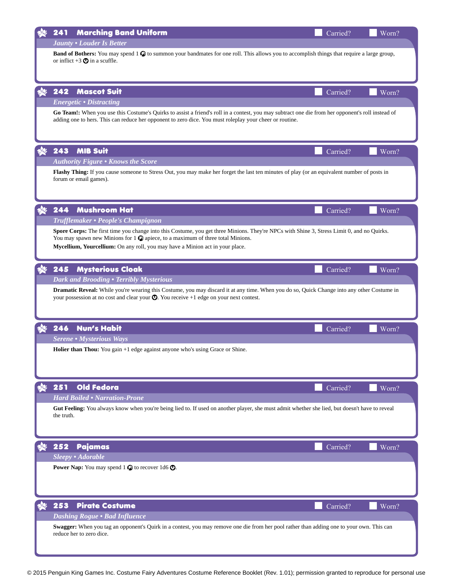| <b>Marching Band Uniform</b><br>241                                                                                                                                                                                                                            | Carried? | Worn? |  |
|----------------------------------------------------------------------------------------------------------------------------------------------------------------------------------------------------------------------------------------------------------------|----------|-------|--|
| <b>Jaunty . Louder Is Better</b>                                                                                                                                                                                                                               |          |       |  |
| <b>Band of Bothers:</b> You may spend $1 \odot \!\!\!\! \bullet$ to summon your bandmates for one roll. This allows you to accomplish things that require a large group,                                                                                       |          |       |  |
| or inflict $+3$ $\odot$ in a scuffle.                                                                                                                                                                                                                          |          |       |  |
|                                                                                                                                                                                                                                                                |          |       |  |
| 242                                                                                                                                                                                                                                                            |          |       |  |
| <b>Mascot Suit</b><br><b>Energetic • Distracting</b>                                                                                                                                                                                                           | Carried? | Worn? |  |
| Go Team!: When you use this Costume's Quirks to assist a friend's roll in a contest, you may subtract one die from her opponent's roll instead of                                                                                                              |          |       |  |
| adding one to hers. This can reduce her opponent to zero dice. You must roleplay your cheer or routine.                                                                                                                                                        |          |       |  |
|                                                                                                                                                                                                                                                                |          |       |  |
|                                                                                                                                                                                                                                                                |          |       |  |
| 243<br><b>MIB Suit</b>                                                                                                                                                                                                                                         | Carried? | Worn? |  |
| <b>Authority Figure • Knows the Score</b>                                                                                                                                                                                                                      |          |       |  |
| Flashy Thing: If you cause someone to Stress Out, you may make her forget the last ten minutes of play (or an equivalent number of posts in                                                                                                                    |          |       |  |
| forum or email games).                                                                                                                                                                                                                                         |          |       |  |
|                                                                                                                                                                                                                                                                |          |       |  |
| <b>Mushroom Hat</b><br>244                                                                                                                                                                                                                                     |          |       |  |
|                                                                                                                                                                                                                                                                | Carried? | Worn? |  |
| Trufflemaker • People's Champignon                                                                                                                                                                                                                             |          |       |  |
| Spore Corps: The first time you change into this Costume, you get three Minions. They're NPCs with Shine 3, Stress Limit 0, and no Quirks.<br>You may spawn new Minions for $1 \bigcirc \hspace{-3.5mm} \bigcirc$ apiece, to a maximum of three total Minions. |          |       |  |
| Mycellium, Yourcellium: On any roll, you may have a Minion act in your place.                                                                                                                                                                                  |          |       |  |
|                                                                                                                                                                                                                                                                |          |       |  |
| <b>Mysterious Cloak</b><br>245                                                                                                                                                                                                                                 | Carried? | Worn? |  |
| Dark and Brooding . Terribly Mysterious                                                                                                                                                                                                                        |          |       |  |
| Dramatic Reveal: While you're wearing this Costume, you may discard it at any time. When you do so, Quick Change into any other Costume in                                                                                                                     |          |       |  |
| your possession at no cost and clear your $\odot$ . You receive +1 edge on your next contest.                                                                                                                                                                  |          |       |  |
|                                                                                                                                                                                                                                                                |          |       |  |
| 246<br><b>Nun's Habit</b>                                                                                                                                                                                                                                      | Carried? | Worn? |  |
| <b>Serene • Mysterious Ways</b>                                                                                                                                                                                                                                |          |       |  |
| Holier than Thou: You gain +1 edge against anyone who's using Grace or Shine.                                                                                                                                                                                  |          |       |  |
|                                                                                                                                                                                                                                                                |          |       |  |
|                                                                                                                                                                                                                                                                |          |       |  |
|                                                                                                                                                                                                                                                                |          |       |  |
| 251<br><b>Old Fedora</b>                                                                                                                                                                                                                                       | Carried? | Worn? |  |
| <b>Hard Boiled • Narration-Prone</b>                                                                                                                                                                                                                           |          |       |  |
| Gut Feeling: You always know when you're being lied to. If used on another player, she must admit whether she lied, but doesn't have to reveal                                                                                                                 |          |       |  |
| the truth.                                                                                                                                                                                                                                                     |          |       |  |
|                                                                                                                                                                                                                                                                |          |       |  |
| 252<br>Pajamas                                                                                                                                                                                                                                                 | Carried? | Worn? |  |
| Sleepy • Adorable                                                                                                                                                                                                                                              |          |       |  |
| <b>Power Nap:</b> You may spend $1$ $\odot$ to recover 1d6 $\odot$ .                                                                                                                                                                                           |          |       |  |
|                                                                                                                                                                                                                                                                |          |       |  |
|                                                                                                                                                                                                                                                                |          |       |  |
|                                                                                                                                                                                                                                                                |          |       |  |
| 253<br><b>Pirate Costume</b>                                                                                                                                                                                                                                   | Carried? | Worn? |  |
| <b>Dashing Rogue • Bad Influence</b>                                                                                                                                                                                                                           |          |       |  |
| Swagger: When you tag an opponent's Quirk in a contest, you may remove one die from her pool rather than adding one to your own. This can                                                                                                                      |          |       |  |
| reduce her to zero dice.                                                                                                                                                                                                                                       |          |       |  |
|                                                                                                                                                                                                                                                                |          |       |  |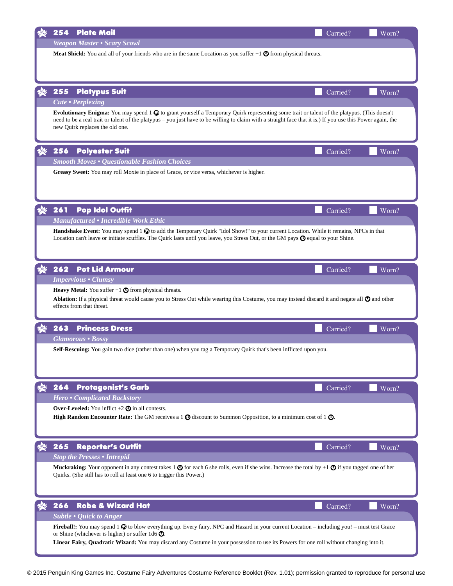| <b>Plate Mail</b><br>254                                                                                                                                                                                                                                                       | Carried? | Worn? |
|--------------------------------------------------------------------------------------------------------------------------------------------------------------------------------------------------------------------------------------------------------------------------------|----------|-------|
| <b>Weapon Master • Scary Scowl</b>                                                                                                                                                                                                                                             |          |       |
| <b>Meat Shield:</b> You and all of your friends who are in the same Location as you suffer $-1$ $\odot$ from physical threats.                                                                                                                                                 |          |       |
|                                                                                                                                                                                                                                                                                |          |       |
|                                                                                                                                                                                                                                                                                |          |       |
| 255<br><b>Platypus Suit</b>                                                                                                                                                                                                                                                    | Carried? | Worn? |
| <b>Cute • Perplexing</b><br>Evolutionary Enigma: You may spend 1 $\odot$ to grant yourself a Temporary Quirk representing some trait or talent of the platypus. (This doesn't                                                                                                  |          |       |
| need to be a real trait or talent of the platypus - you just have to be willing to claim with a straight face that it is.) If you use this Power again, the                                                                                                                    |          |       |
| new Quirk replaces the old one.                                                                                                                                                                                                                                                |          |       |
| 256<br><b>Polyester Suit</b>                                                                                                                                                                                                                                                   | Carried? | Worn? |
| <b>Smooth Moves • Questionable Fashion Choices</b>                                                                                                                                                                                                                             |          |       |
| Greasy Sweet: You may roll Moxie in place of Grace, or vice versa, whichever is higher.                                                                                                                                                                                        |          |       |
|                                                                                                                                                                                                                                                                                |          |       |
|                                                                                                                                                                                                                                                                                |          |       |
| 261<br><b>Pop Idol Outfit</b>                                                                                                                                                                                                                                                  | Carried? | Worn? |
| <b>Manufactured • Incredible Work Ethic</b>                                                                                                                                                                                                                                    |          |       |
| Handshake Event: You may spend 1 $\odot$ to add the Temporary Quirk "Idol Show!" to your current Location. While it remains, NPCs in that<br>Location can't leave or initiate scuffles. The Quirk lasts until you leave, you Stress Out, or the GM pays @ equal to your Shine. |          |       |
|                                                                                                                                                                                                                                                                                |          |       |
|                                                                                                                                                                                                                                                                                |          |       |
| <b>Pot Lid Armour</b><br>262                                                                                                                                                                                                                                                   | Carried? | Worn? |
| <b>Impervious • Clumsy</b>                                                                                                                                                                                                                                                     |          |       |
| <b>Heavy Metal:</b> You suffer $-1$ $\bullet$ from physical threats.<br><b>Ablation:</b> If a physical threat would cause you to Stress Out while wearing this Costume, you may instead discard it and negate all $\odot$ and other                                            |          |       |
| effects from that threat.                                                                                                                                                                                                                                                      |          |       |
|                                                                                                                                                                                                                                                                                |          |       |
| 263<br><b>Princess Dress</b>                                                                                                                                                                                                                                                   | Carried? | Worn? |
| <b>Glamorous • Bossy</b><br>Self-Rescuing: You gain two dice (rather than one) when you tag a Temporary Quirk that's been inflicted upon you.                                                                                                                                  |          |       |
|                                                                                                                                                                                                                                                                                |          |       |
|                                                                                                                                                                                                                                                                                |          |       |
| <b>Protagonist's Garb</b><br>264                                                                                                                                                                                                                                               | Carried? | Worn? |
| <b>Hero • Complicated Backstory</b>                                                                                                                                                                                                                                            |          |       |
| Over-Leveled: You inflict $+2$ $\odot$ in all contests.                                                                                                                                                                                                                        |          |       |
| <b>High Random Encounter Rate:</b> The GM receives a 1 $\odot$ discount to Summon Opposition, to a minimum cost of 1 $\odot$ .                                                                                                                                                 |          |       |
|                                                                                                                                                                                                                                                                                |          |       |
| 265<br><b>Reporter's Outfit</b>                                                                                                                                                                                                                                                | Carried? | Worn? |
| <b>Stop the Presses • Intrepid</b>                                                                                                                                                                                                                                             |          |       |
| <b>Muckraking:</b> Your opponent in any contest takes 1 $\odot$ for each 6 she rolls, even if she wins. Increase the total by +1 $\odot$ if you tagged one of her<br>Quirks. (She still has to roll at least one 6 to trigger this Power.)                                     |          |       |
|                                                                                                                                                                                                                                                                                |          |       |
|                                                                                                                                                                                                                                                                                |          |       |
| <b>Robe &amp; Wizard Hat</b><br>266                                                                                                                                                                                                                                            | Carried? | Worn? |
| <b>Subtle • Quick to Anger</b><br><b>Fireball!:</b> You may spend 1 $\bullet$ to blow everything up. Every fairy, NPC and Hazard in your current Location – including you! – must test Grace                                                                                   |          |       |
| or Shine (whichever is higher) or suffer $1d6 \, \textcircled{1}$ .                                                                                                                                                                                                            |          |       |
| Linear Fairy, Quadratic Wizard: You may discard any Costume in your possession to use its Powers for one roll without changing into it.                                                                                                                                        |          |       |
|                                                                                                                                                                                                                                                                                |          |       |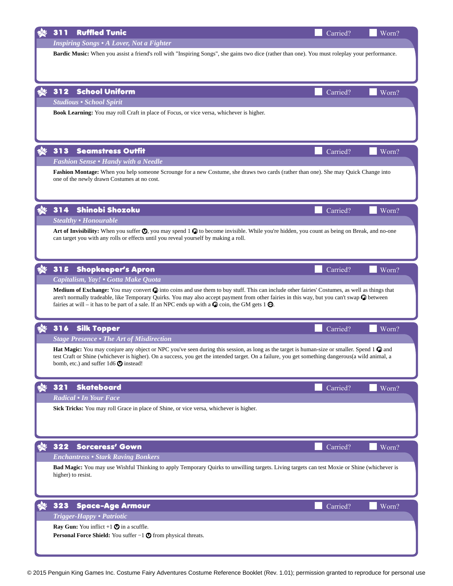|      | <b>Ruffled Tunic</b><br>311                                                                                                                                                                                                                                                                                    | Carried? | Worn? |  |
|------|----------------------------------------------------------------------------------------------------------------------------------------------------------------------------------------------------------------------------------------------------------------------------------------------------------------|----------|-------|--|
|      | <b>Inspiring Songs • A Lover, Not a Fighter</b>                                                                                                                                                                                                                                                                |          |       |  |
|      | Bardic Music: When you assist a friend's roll with "Inspiring Songs", she gains two dice (rather than one). You must roleplay your performance.                                                                                                                                                                |          |       |  |
|      |                                                                                                                                                                                                                                                                                                                |          |       |  |
|      |                                                                                                                                                                                                                                                                                                                |          |       |  |
|      | 312<br><b>School Uniform</b>                                                                                                                                                                                                                                                                                   | Carried? | Worn? |  |
|      | <b>Studious • School Spirit</b>                                                                                                                                                                                                                                                                                |          |       |  |
|      | Book Learning: You may roll Craft in place of Focus, or vice versa, whichever is higher.                                                                                                                                                                                                                       |          |       |  |
|      |                                                                                                                                                                                                                                                                                                                |          |       |  |
|      |                                                                                                                                                                                                                                                                                                                |          |       |  |
|      |                                                                                                                                                                                                                                                                                                                |          |       |  |
|      | 313<br><b>Seamstress Outfit</b>                                                                                                                                                                                                                                                                                | Carried? | Worn? |  |
|      | <b>Fashion Sense • Handy with a Needle</b>                                                                                                                                                                                                                                                                     |          |       |  |
|      | Fashion Montage: When you help someone Scrounge for a new Costume, she draws two cards (rather than one). She may Quick Change into<br>one of the newly drawn Costumes at no cost.                                                                                                                             |          |       |  |
|      |                                                                                                                                                                                                                                                                                                                |          |       |  |
|      |                                                                                                                                                                                                                                                                                                                |          |       |  |
|      | Shinobi Shozoku<br>314                                                                                                                                                                                                                                                                                         | Carried? | Worn? |  |
|      | <b>Stealthy • Honourable</b>                                                                                                                                                                                                                                                                                   |          |       |  |
|      | Art of Invisibility: When you suffer $\odot$ , you may spend 1 $\odot$ to become invisible. While you're hidden, you count as being on Break, and no-one                                                                                                                                                       |          |       |  |
|      | can target you with any rolls or effects until you reveal yourself by making a roll.                                                                                                                                                                                                                           |          |       |  |
|      |                                                                                                                                                                                                                                                                                                                |          |       |  |
| હ્યુ | 315<br><b>Shopkeeper's Apron</b>                                                                                                                                                                                                                                                                               | Carried? | Worn? |  |
|      | Capitalism, Yay! • Gotta Make Quota                                                                                                                                                                                                                                                                            |          |       |  |
|      | Medium of Exchange: You may convert $\odot$ into coins and use them to buy stuff. This can include other fairies' Costumes, as well as things that                                                                                                                                                             |          |       |  |
|      | aren't normally tradeable, like Temporary Quirks. You may also accept payment from other fairies in this way, but you can't swap $\bullet$ between                                                                                                                                                             |          |       |  |
|      | fairies at will – it has to be part of a sale. If an NPC ends up with a $\bullet$ coin, the GM gets 1 $\bullet$ .                                                                                                                                                                                              |          |       |  |
|      |                                                                                                                                                                                                                                                                                                                |          |       |  |
|      | 316<br><b>Silk Topper</b>                                                                                                                                                                                                                                                                                      | Carried? | Worn? |  |
|      | <b>Stage Presence • The Art of Misdirection</b>                                                                                                                                                                                                                                                                |          |       |  |
|      | <b>Hat Magic:</b> You may conjure any object or NPC you've seen during this session, as long as the target is human-size or smaller. Spend 1 $\bullet$ and<br>test Craft or Shine (whichever is higher). On a success, you get the intended target. On a failure, you get something dangerous(a wild animal, a |          |       |  |
|      | bomb, etc.) and suffer $1d6$ $\odot$ instead!                                                                                                                                                                                                                                                                  |          |       |  |
|      |                                                                                                                                                                                                                                                                                                                |          |       |  |
|      | 321<br><b>Skateboard</b>                                                                                                                                                                                                                                                                                       | Carried? | Worn? |  |
|      | Radical • In Your Face                                                                                                                                                                                                                                                                                         |          |       |  |
|      | Sick Tricks: You may roll Grace in place of Shine, or vice versa, whichever is higher.                                                                                                                                                                                                                         |          |       |  |
|      |                                                                                                                                                                                                                                                                                                                |          |       |  |
|      |                                                                                                                                                                                                                                                                                                                |          |       |  |
| XO.  | 322<br><b>Sorceress' Gown</b>                                                                                                                                                                                                                                                                                  | Carried? | Worn? |  |
|      | <b>Enchantress • Stark Raving Bonkers</b>                                                                                                                                                                                                                                                                      |          |       |  |
|      | Bad Magic: You may use Wishful Thinking to apply Temporary Quirks to unwilling targets. Living targets can test Moxie or Shine (whichever is                                                                                                                                                                   |          |       |  |
|      | higher) to resist.                                                                                                                                                                                                                                                                                             |          |       |  |
|      |                                                                                                                                                                                                                                                                                                                |          |       |  |
|      |                                                                                                                                                                                                                                                                                                                |          |       |  |
|      | 323<br><b>Space-Age Armour</b>                                                                                                                                                                                                                                                                                 | Carried? | Worn? |  |
|      | Trigger-Happy • Patriotic                                                                                                                                                                                                                                                                                      |          |       |  |
|      | <b>Ray Gun:</b> You inflict $+1$ $\odot$ in a scuffle.                                                                                                                                                                                                                                                         |          |       |  |
|      | <b>Personal Force Shield:</b> You suffer $-1$ $\odot$ from physical threats.                                                                                                                                                                                                                                   |          |       |  |
|      |                                                                                                                                                                                                                                                                                                                |          |       |  |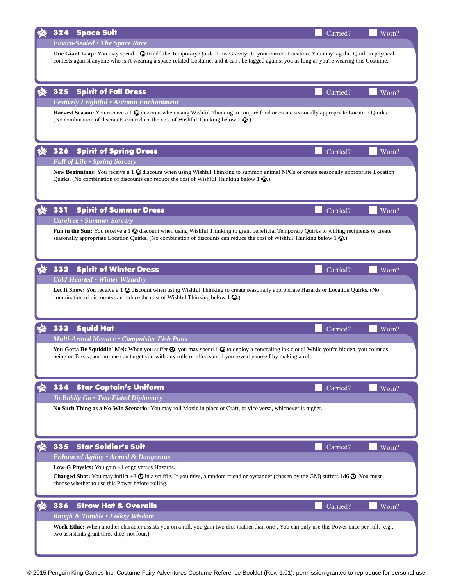| 324<br><b>Space Suit</b>                                                                                                                                                                                                                                                                             | Carried? | Worn? |
|------------------------------------------------------------------------------------------------------------------------------------------------------------------------------------------------------------------------------------------------------------------------------------------------------|----------|-------|
| <b>Enviro-Sealed • The Space Race</b>                                                                                                                                                                                                                                                                |          |       |
| One Giant Leap: You may spend 1 $\circled{v}$ to add the Temporary Quirk "Low Gravity" to your current Location. You may tag this Quirk in physical<br>contests against anyone who isn't wearing a space-related Costume, and it can't be tagged against you as long as you're wearing this Costume. |          |       |
| <b>Spirit of Fall Dress</b><br>325                                                                                                                                                                                                                                                                   | Carried? | Worn? |
| <b>Festively Frightful • Autumn Enchantment</b>                                                                                                                                                                                                                                                      |          |       |
| Harvest Season: You receive a 1 $\odot$ discount when using Wishful Thinking to conjure food or create seasonally appropriate Location Quirks.<br>(No combination of discounts can reduce the cost of Wishful Thinking below $1 \, \textcircled{\tiny 1}$ ).                                         |          |       |
| <b>Spirit of Spring Dress</b><br>326<br><b>Full of Life . Spring Sorcery</b>                                                                                                                                                                                                                         | Carried? | Worn? |
| New Beginnings: You receive a 1 $\odot$ discount when using Wishful Thinking to summon animal NPCs or create seasonally appropriate Location<br>Quirks. (No combination of discounts can reduce the cost of Wishful Thinking below $1 \, \textcircled{\tiny 2}$ .)                                   |          |       |
| 331<br><b>Spirit of Summer Dress</b>                                                                                                                                                                                                                                                                 | Carried? | Worn? |
| <b>Carefree • Summer Sorcery</b>                                                                                                                                                                                                                                                                     |          |       |
| Fun in the Sun: You receive a 1 $\odot$ discount when using Wishful Thinking to grant beneficial Temporary Quirks to willing recipients or create<br>seasonally appropriate Location Quirks. (No combination of discounts can reduce the cost of Wishful Thinking below 1 $\circ$ ).                 |          |       |
| 332<br><b>Spirit of Winter Dress</b>                                                                                                                                                                                                                                                                 | Carried? | Worn? |
| <b>Cold-Hearted • Winter Wizardry</b>                                                                                                                                                                                                                                                                |          |       |
| Let It Snow: You receive a 1 $\odot$ discount when using Wishful Thinking to create seasonally appropriate Hazards or Location Quirks. (No<br>combination of discounts can reduce the cost of Wishful Thinking below $1 \, \Omega$ .)                                                                |          |       |
| 333<br><b>Squid Hat</b>                                                                                                                                                                                                                                                                              | Carried? | Worn? |
| <b>Multi-Armed Menace • Compulsive Fish Puns</b>                                                                                                                                                                                                                                                     |          |       |
| You Gotta Be Squiddin' Me!: When you suffer $\circledcirc$ , you may spend 1 $\circledcirc$ to deploy a concealing ink cloud! While you're hidden, you count as<br>being on Break, and no-one can target you with any rolls or effects until you reveal yourself by making a roll.                   |          |       |
| 334<br><b>Star Captain's Uniform</b>                                                                                                                                                                                                                                                                 | Carried? | Worn? |
| To Boldly Go . Two-Fisted Diplomacy                                                                                                                                                                                                                                                                  |          |       |
| No Such Thing as a No-Win Scenario: You may roll Moxie in place of Craft, or vice versa, whichever is higher.                                                                                                                                                                                        |          |       |
| 335<br><b>Star Soldier's Suit</b>                                                                                                                                                                                                                                                                    | Carried? | Worn? |
| <b>Enhanced Agility • Armed &amp; Dangerous</b>                                                                                                                                                                                                                                                      |          |       |
| Low-G Physics: You gain +1 edge versus Hazards.<br><b>Charged Shot:</b> You may inflict +2 $\odot$ in a scuffle. If you miss, a random friend or bystander (chosen by the GM) suffers 1d6 $\odot$ . You must<br>choose whether to use this Power before rolling.                                     |          |       |
| <b>Straw Hat &amp; Overalls</b><br>336                                                                                                                                                                                                                                                               | Carried? | Worn? |
| Rough & Tumble • Folksy Wisdom                                                                                                                                                                                                                                                                       |          |       |
| Work Ethic: When another character assists you on a roll, you gain two dice (rather than one). You can only use this Power once per roll. (e.g.,<br>two assistants grant three dice, not four.)                                                                                                      |          |       |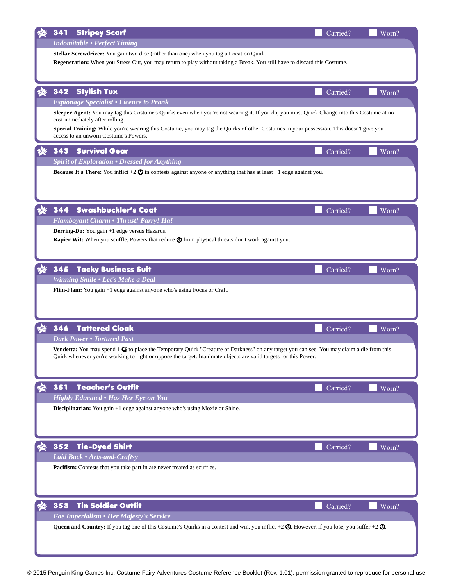|     | <b>Stripey Scarf</b><br>341                                                                                                                                                                                          | Carried? | Worn? |  |  |
|-----|----------------------------------------------------------------------------------------------------------------------------------------------------------------------------------------------------------------------|----------|-------|--|--|
|     | <b>Indomitable • Perfect Timing</b>                                                                                                                                                                                  |          |       |  |  |
|     | Stellar Screwdriver: You gain two dice (rather than one) when you tag a Location Quirk.<br>Regeneration: When you Stress Out, you may return to play without taking a Break. You still have to discard this Costume. |          |       |  |  |
|     |                                                                                                                                                                                                                      |          |       |  |  |
|     |                                                                                                                                                                                                                      |          |       |  |  |
|     | 342<br><b>Stylish Tux</b>                                                                                                                                                                                            | Carried? | Worn? |  |  |
|     | <b>Espionage Specialist • Licence to Prank</b>                                                                                                                                                                       |          |       |  |  |
|     | Sleeper Agent: You may tag this Costume's Quirks even when you're not wearing it. If you do, you must Quick Change into this Costume at no<br>cost immediately after rolling.                                        |          |       |  |  |
|     | Special Training: While you're wearing this Costume, you may tag the Quirks of other Costumes in your possession. This doesn't give you                                                                              |          |       |  |  |
|     | access to an unworn Costume's Powers.                                                                                                                                                                                |          |       |  |  |
|     | 343<br><b>Survival Gear</b>                                                                                                                                                                                          | Carried? | Worn? |  |  |
|     | <b>Spirit of Exploration • Dressed for Anything</b>                                                                                                                                                                  |          |       |  |  |
|     | <b>Because It's There:</b> You inflict $+2\bullet$ in contests against anyone or anything that has at least $+1$ edge against you.                                                                                   |          |       |  |  |
|     |                                                                                                                                                                                                                      |          |       |  |  |
|     |                                                                                                                                                                                                                      |          |       |  |  |
|     | <b>Swashbuckler's Coat</b><br>344                                                                                                                                                                                    | Carried? | Worn? |  |  |
|     | Flamboyant Charm • Thrust! Parry! Ha!                                                                                                                                                                                |          |       |  |  |
|     | Derring-Do: You gain +1 edge versus Hazards.                                                                                                                                                                         |          |       |  |  |
|     | Rapier Wit: When you scuffle, Powers that reduce $\bigcirc$ from physical threats don't work against you.                                                                                                            |          |       |  |  |
|     |                                                                                                                                                                                                                      |          |       |  |  |
|     | <b>Tacky Business Suit</b><br>345                                                                                                                                                                                    | Carried? | Worn? |  |  |
|     | Winning Smile . Let's Make a Deal                                                                                                                                                                                    |          |       |  |  |
|     | Flim-Flam: You gain +1 edge against anyone who's using Focus or Craft.                                                                                                                                               |          |       |  |  |
|     |                                                                                                                                                                                                                      |          |       |  |  |
|     |                                                                                                                                                                                                                      |          |       |  |  |
|     | <b>Tattered Cloak</b><br>346                                                                                                                                                                                         | Carried? | Worn? |  |  |
|     | <b>Dark Power • Tortured Past</b>                                                                                                                                                                                    |          |       |  |  |
|     | <b>Vendetta:</b> You may spend 1 $\mathcal{C}$ to place the Temporary Quirk "Creature of Darkness" on any target you can see. You may claim a die from this                                                          |          |       |  |  |
|     | Quirk whenever you're working to fight or oppose the target. Inanimate objects are valid targets for this Power.                                                                                                     |          |       |  |  |
|     |                                                                                                                                                                                                                      |          |       |  |  |
|     | <b>Teacher's Outfit</b><br>351                                                                                                                                                                                       | Carried? | Worn? |  |  |
|     | <b>Highly Educated • Has Her Eye on You</b>                                                                                                                                                                          |          |       |  |  |
|     | Disciplinarian: You gain +1 edge against anyone who's using Moxie or Shine.                                                                                                                                          |          |       |  |  |
|     |                                                                                                                                                                                                                      |          |       |  |  |
|     |                                                                                                                                                                                                                      |          |       |  |  |
| 3Q. | <b>Tie-Dyed Shirt</b><br>352                                                                                                                                                                                         | Carried? | Worn? |  |  |
|     | Laid Back • Arts-and-Craftsy                                                                                                                                                                                         |          |       |  |  |
|     | Pacifism: Contests that you take part in are never treated as scuffles.                                                                                                                                              |          |       |  |  |
|     |                                                                                                                                                                                                                      |          |       |  |  |
|     |                                                                                                                                                                                                                      |          |       |  |  |
|     | <b>Tin Soldier Outfit</b><br>353                                                                                                                                                                                     | Carried? | Worn? |  |  |
|     | Fae Imperialism • Her Majesty's Service                                                                                                                                                                              |          |       |  |  |
|     | <b>Queen and Country:</b> If you tag one of this Costume's Quirks in a contest and win, you inflict $+2$ $\odot$ . However, if you lose, you suffer $+2$ $\odot$ .                                                   |          |       |  |  |
|     |                                                                                                                                                                                                                      |          |       |  |  |
|     |                                                                                                                                                                                                                      |          |       |  |  |